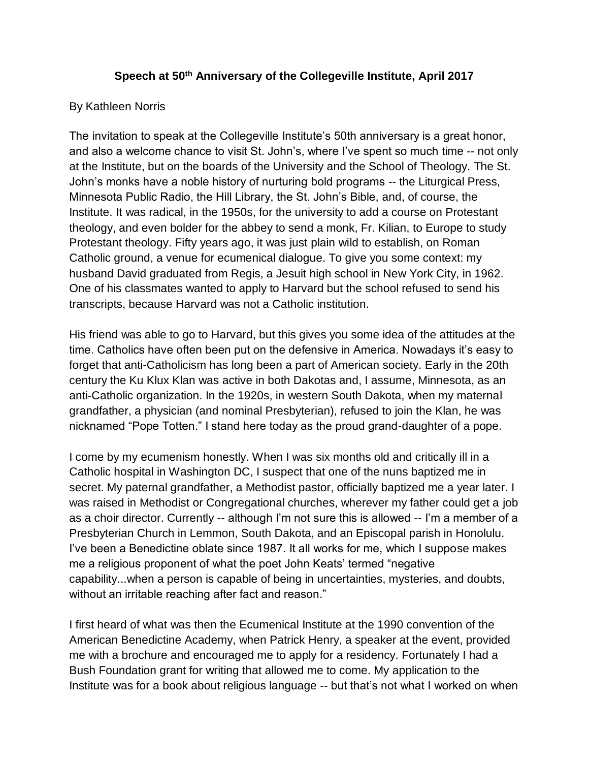## **Speech at 50th Anniversary of the Collegeville Institute, April 2017**

## By Kathleen Norris

The invitation to speak at the Collegeville Institute's 50th anniversary is a great honor, and also a welcome chance to visit St. John's, where I've spent so much time -- not only at the Institute, but on the boards of the University and the School of Theology. The St. John's monks have a noble history of nurturing bold programs -- the Liturgical Press, Minnesota Public Radio, the Hill Library, the St. John's Bible, and, of course, the Institute. It was radical, in the 1950s, for the university to add a course on Protestant theology, and even bolder for the abbey to send a monk, Fr. Kilian, to Europe to study Protestant theology. Fifty years ago, it was just plain wild to establish, on Roman Catholic ground, a venue for ecumenical dialogue. To give you some context: my husband David graduated from Regis, a Jesuit high school in New York City, in 1962. One of his classmates wanted to apply to Harvard but the school refused to send his transcripts, because Harvard was not a Catholic institution.

His friend was able to go to Harvard, but this gives you some idea of the attitudes at the time. Catholics have often been put on the defensive in America. Nowadays it's easy to forget that anti-Catholicism has long been a part of American society. Early in the 20th century the Ku Klux Klan was active in both Dakotas and, I assume, Minnesota, as an anti-Catholic organization. In the 1920s, in western South Dakota, when my maternal grandfather, a physician (and nominal Presbyterian), refused to join the Klan, he was nicknamed "Pope Totten." I stand here today as the proud grand-daughter of a pope.

I come by my ecumenism honestly. When I was six months old and critically ill in a Catholic hospital in Washington DC, I suspect that one of the nuns baptized me in secret. My paternal grandfather, a Methodist pastor, officially baptized me a year later. I was raised in Methodist or Congregational churches, wherever my father could get a job as a choir director. Currently -- although I'm not sure this is allowed -- I'm a member of a Presbyterian Church in Lemmon, South Dakota, and an Episcopal parish in Honolulu. I've been a Benedictine oblate since 1987. It all works for me, which I suppose makes me a religious proponent of what the poet John Keats' termed "negative capability...when a person is capable of being in uncertainties, mysteries, and doubts, without an irritable reaching after fact and reason."

I first heard of what was then the Ecumenical Institute at the 1990 convention of the American Benedictine Academy, when Patrick Henry, a speaker at the event, provided me with a brochure and encouraged me to apply for a residency. Fortunately I had a Bush Foundation grant for writing that allowed me to come. My application to the Institute was for a book about religious language -- but that's not what I worked on when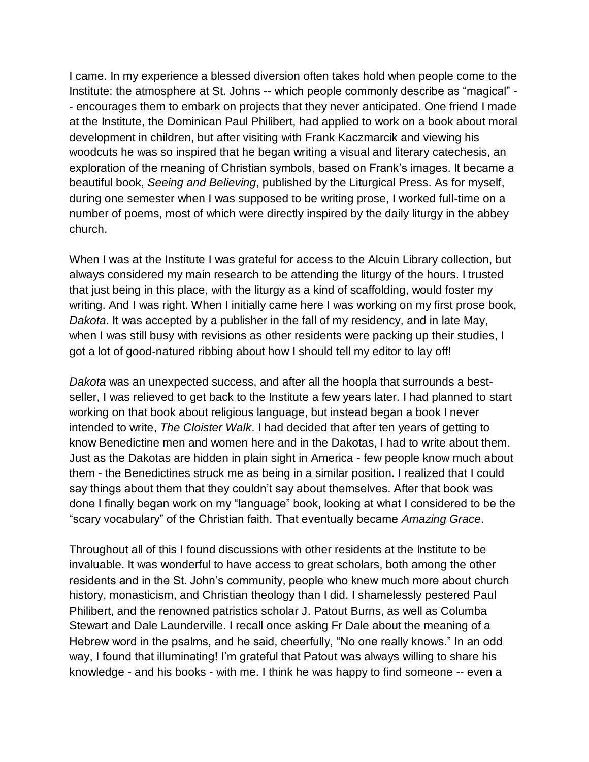I came. In my experience a blessed diversion often takes hold when people come to the Institute: the atmosphere at St. Johns -- which people commonly describe as "magical" - - encourages them to embark on projects that they never anticipated. One friend I made at the Institute, the Dominican Paul Philibert, had applied to work on a book about moral development in children, but after visiting with Frank Kaczmarcik and viewing his woodcuts he was so inspired that he began writing a visual and literary catechesis, an exploration of the meaning of Christian symbols, based on Frank's images. It became a beautiful book, *Seeing and Believing*, published by the Liturgical Press. As for myself, during one semester when I was supposed to be writing prose, I worked full-time on a number of poems, most of which were directly inspired by the daily liturgy in the abbey church.

When I was at the Institute I was grateful for access to the Alcuin Library collection, but always considered my main research to be attending the liturgy of the hours. I trusted that just being in this place, with the liturgy as a kind of scaffolding, would foster my writing. And I was right. When I initially came here I was working on my first prose book, *Dakota*. It was accepted by a publisher in the fall of my residency, and in late May, when I was still busy with revisions as other residents were packing up their studies, I got a lot of good-natured ribbing about how I should tell my editor to lay off!

*Dakota* was an unexpected success, and after all the hoopla that surrounds a bestseller, I was relieved to get back to the Institute a few years later. I had planned to start working on that book about religious language, but instead began a book I never intended to write, *The Cloister Walk*. I had decided that after ten years of getting to know Benedictine men and women here and in the Dakotas, I had to write about them. Just as the Dakotas are hidden in plain sight in America - few people know much about them - the Benedictines struck me as being in a similar position. I realized that I could say things about them that they couldn't say about themselves. After that book was done I finally began work on my "language" book, looking at what I considered to be the "scary vocabulary" of the Christian faith. That eventually became *Amazing Grace*.

Throughout all of this I found discussions with other residents at the Institute to be invaluable. It was wonderful to have access to great scholars, both among the other residents and in the St. John's community, people who knew much more about church history, monasticism, and Christian theology than I did. I shamelessly pestered Paul Philibert, and the renowned patristics scholar J. Patout Burns, as well as Columba Stewart and Dale Launderville. I recall once asking Fr Dale about the meaning of a Hebrew word in the psalms, and he said, cheerfully, "No one really knows." In an odd way, I found that illuminating! I'm grateful that Patout was always willing to share his knowledge - and his books - with me. I think he was happy to find someone -- even a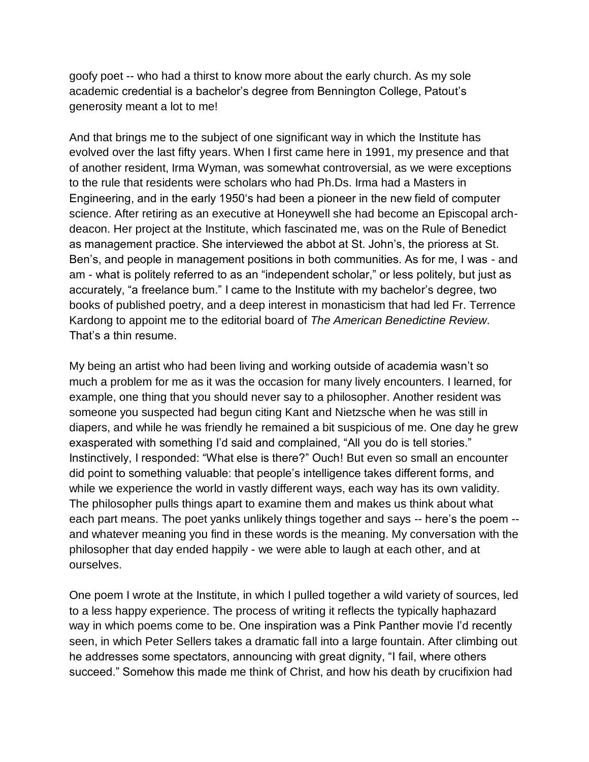goofy poet -- who had a thirst to know more about the early church. As my sole academic credential is a bachelor's degree from Bennington College, Patout's generosity meant a lot to me!

And that brings me to the subject of one significant way in which the Institute has evolved over the last fifty years. When I first came here in 1991, my presence and that of another resident, Irma Wyman, was somewhat controversial, as we were exceptions to the rule that residents were scholars who had Ph.Ds. Irma had a Masters in Engineering, and in the early 1950's had been a pioneer in the new field of computer science. After retiring as an executive at Honeywell she had become an Episcopal archdeacon. Her project at the Institute, which fascinated me, was on the Rule of Benedict as management practice. She interviewed the abbot at St. John's, the prioress at St. Ben's, and people in management positions in both communities. As for me, I was - and am - what is politely referred to as an "independent scholar," or less politely, but just as accurately, "a freelance bum." I came to the Institute with my bachelor's degree, two books of published poetry, and a deep interest in monasticism that had led Fr. Terrence Kardong to appoint me to the editorial board of *The American Benedictine Review*. That's a thin resume.

My being an artist who had been living and working outside of academia wasn't so much a problem for me as it was the occasion for many lively encounters. I learned, for example, one thing that you should never say to a philosopher. Another resident was someone you suspected had begun citing Kant and Nietzsche when he was still in diapers, and while he was friendly he remained a bit suspicious of me. One day he grew exasperated with something I'd said and complained, "All you do is tell stories." Instinctively, I responded: "What else is there?" Ouch! But even so small an encounter did point to something valuable: that people's intelligence takes different forms, and while we experience the world in vastly different ways, each way has its own validity. The philosopher pulls things apart to examine them and makes us think about what each part means. The poet yanks unlikely things together and says -- here's the poem - and whatever meaning you find in these words is the meaning. My conversation with the philosopher that day ended happily - we were able to laugh at each other, and at ourselves.

One poem I wrote at the Institute, in which I pulled together a wild variety of sources, led to a less happy experience. The process of writing it reflects the typically haphazard way in which poems come to be. One inspiration was a Pink Panther movie I'd recently seen, in which Peter Sellers takes a dramatic fall into a large fountain. After climbing out he addresses some spectators, announcing with great dignity, "I fail, where others succeed." Somehow this made me think of Christ, and how his death by crucifixion had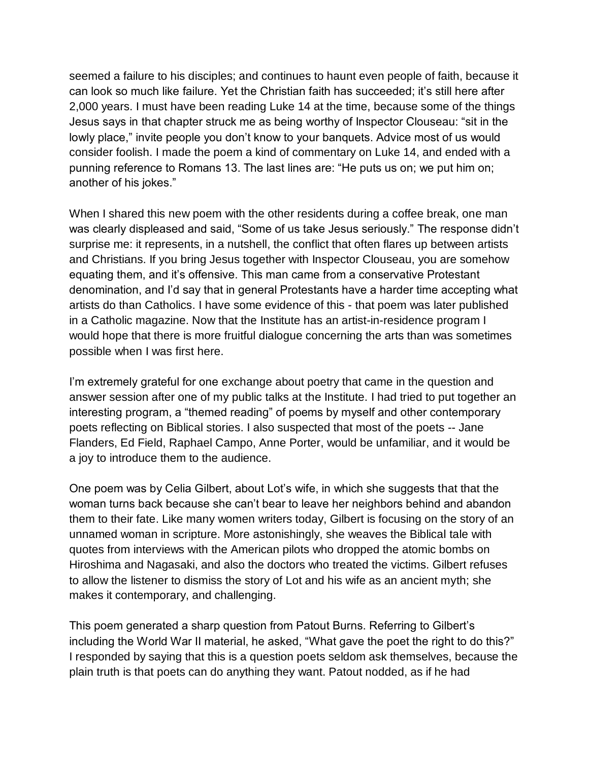seemed a failure to his disciples; and continues to haunt even people of faith, because it can look so much like failure. Yet the Christian faith has succeeded; it's still here after 2,000 years. I must have been reading Luke 14 at the time, because some of the things Jesus says in that chapter struck me as being worthy of Inspector Clouseau: "sit in the lowly place," invite people you don't know to your banquets. Advice most of us would consider foolish. I made the poem a kind of commentary on Luke 14, and ended with a punning reference to Romans 13. The last lines are: "He puts us on; we put him on; another of his jokes."

When I shared this new poem with the other residents during a coffee break, one man was clearly displeased and said, "Some of us take Jesus seriously." The response didn't surprise me: it represents, in a nutshell, the conflict that often flares up between artists and Christians. If you bring Jesus together with Inspector Clouseau, you are somehow equating them, and it's offensive. This man came from a conservative Protestant denomination, and I'd say that in general Protestants have a harder time accepting what artists do than Catholics. I have some evidence of this - that poem was later published in a Catholic magazine. Now that the Institute has an artist-in-residence program I would hope that there is more fruitful dialogue concerning the arts than was sometimes possible when I was first here.

I'm extremely grateful for one exchange about poetry that came in the question and answer session after one of my public talks at the Institute. I had tried to put together an interesting program, a "themed reading" of poems by myself and other contemporary poets reflecting on Biblical stories. I also suspected that most of the poets -- Jane Flanders, Ed Field, Raphael Campo, Anne Porter, would be unfamiliar, and it would be a joy to introduce them to the audience.

One poem was by Celia Gilbert, about Lot's wife, in which she suggests that that the woman turns back because she can't bear to leave her neighbors behind and abandon them to their fate. Like many women writers today, Gilbert is focusing on the story of an unnamed woman in scripture. More astonishingly, she weaves the Biblical tale with quotes from interviews with the American pilots who dropped the atomic bombs on Hiroshima and Nagasaki, and also the doctors who treated the victims. Gilbert refuses to allow the listener to dismiss the story of Lot and his wife as an ancient myth; she makes it contemporary, and challenging.

This poem generated a sharp question from Patout Burns. Referring to Gilbert's including the World War II material, he asked, "What gave the poet the right to do this?" I responded by saying that this is a question poets seldom ask themselves, because the plain truth is that poets can do anything they want. Patout nodded, as if he had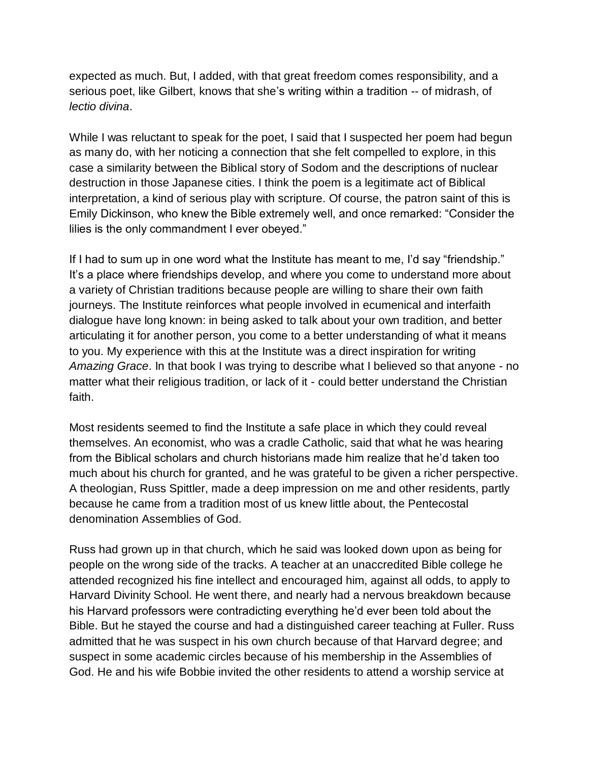expected as much. But, I added, with that great freedom comes responsibility, and a serious poet, like Gilbert, knows that she's writing within a tradition -- of midrash, of *lectio divina*.

While I was reluctant to speak for the poet, I said that I suspected her poem had begun as many do, with her noticing a connection that she felt compelled to explore, in this case a similarity between the Biblical story of Sodom and the descriptions of nuclear destruction in those Japanese cities. I think the poem is a legitimate act of Biblical interpretation, a kind of serious play with scripture. Of course, the patron saint of this is Emily Dickinson, who knew the Bible extremely well, and once remarked: "Consider the lilies is the only commandment I ever obeyed."

If I had to sum up in one word what the Institute has meant to me, I'd say "friendship." It's a place where friendships develop, and where you come to understand more about a variety of Christian traditions because people are willing to share their own faith journeys. The Institute reinforces what people involved in ecumenical and interfaith dialogue have long known: in being asked to talk about your own tradition, and better articulating it for another person, you come to a better understanding of what it means to you. My experience with this at the Institute was a direct inspiration for writing *Amazing Grace*. In that book I was trying to describe what I believed so that anyone - no matter what their religious tradition, or lack of it - could better understand the Christian faith.

Most residents seemed to find the Institute a safe place in which they could reveal themselves. An economist, who was a cradle Catholic, said that what he was hearing from the Biblical scholars and church historians made him realize that he'd taken too much about his church for granted, and he was grateful to be given a richer perspective. A theologian, Russ Spittler, made a deep impression on me and other residents, partly because he came from a tradition most of us knew little about, the Pentecostal denomination Assemblies of God.

Russ had grown up in that church, which he said was looked down upon as being for people on the wrong side of the tracks. A teacher at an unaccredited Bible college he attended recognized his fine intellect and encouraged him, against all odds, to apply to Harvard Divinity School. He went there, and nearly had a nervous breakdown because his Harvard professors were contradicting everything he'd ever been told about the Bible. But he stayed the course and had a distinguished career teaching at Fuller. Russ admitted that he was suspect in his own church because of that Harvard degree; and suspect in some academic circles because of his membership in the Assemblies of God. He and his wife Bobbie invited the other residents to attend a worship service at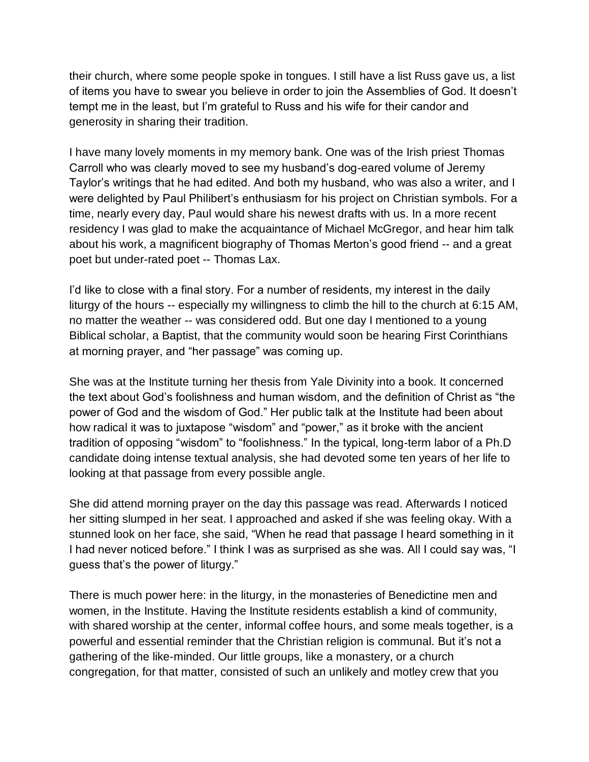their church, where some people spoke in tongues. I still have a list Russ gave us, a list of items you have to swear you believe in order to join the Assemblies of God. It doesn't tempt me in the least, but I'm grateful to Russ and his wife for their candor and generosity in sharing their tradition.

I have many lovely moments in my memory bank. One was of the Irish priest Thomas Carroll who was clearly moved to see my husband's dog-eared volume of Jeremy Taylor's writings that he had edited. And both my husband, who was also a writer, and I were delighted by Paul Philibert's enthusiasm for his project on Christian symbols. For a time, nearly every day, Paul would share his newest drafts with us. In a more recent residency I was glad to make the acquaintance of Michael McGregor, and hear him talk about his work, a magnificent biography of Thomas Merton's good friend -- and a great poet but under-rated poet -- Thomas Lax.

I'd like to close with a final story. For a number of residents, my interest in the daily liturgy of the hours -- especially my willingness to climb the hill to the church at 6:15 AM, no matter the weather -- was considered odd. But one day I mentioned to a young Biblical scholar, a Baptist, that the community would soon be hearing First Corinthians at morning prayer, and "her passage" was coming up.

She was at the Institute turning her thesis from Yale Divinity into a book. It concerned the text about God's foolishness and human wisdom, and the definition of Christ as "the power of God and the wisdom of God." Her public talk at the Institute had been about how radical it was to juxtapose "wisdom" and "power," as it broke with the ancient tradition of opposing "wisdom" to "foolishness." In the typical, long-term labor of a Ph.D candidate doing intense textual analysis, she had devoted some ten years of her life to looking at that passage from every possible angle.

She did attend morning prayer on the day this passage was read. Afterwards I noticed her sitting slumped in her seat. I approached and asked if she was feeling okay. With a stunned look on her face, she said, "When he read that passage I heard something in it I had never noticed before." I think I was as surprised as she was. All I could say was, "I guess that's the power of liturgy."

There is much power here: in the liturgy, in the monasteries of Benedictine men and women, in the Institute. Having the Institute residents establish a kind of community, with shared worship at the center, informal coffee hours, and some meals together, is a powerful and essential reminder that the Christian religion is communal. But it's not a gathering of the like-minded. Our little groups, like a monastery, or a church congregation, for that matter, consisted of such an unlikely and motley crew that you